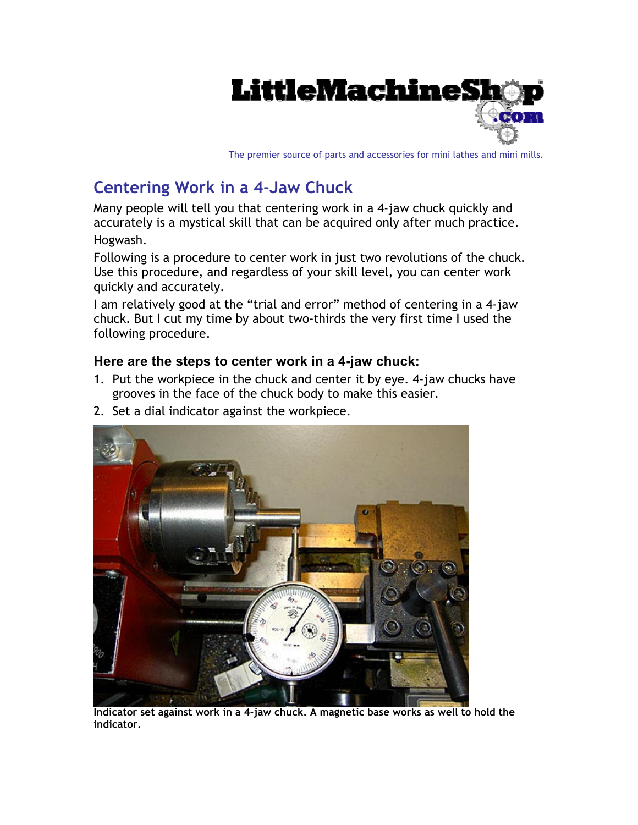

The premier source of parts and accessories for mini lathes and mini mills.

## **Centering Work in a 4-Jaw Chuck**

Many people will tell you that centering work in a 4-jaw chuck quickly and accurately is a mystical skill that can be acquired only after much practice. Hogwash.

Following is a procedure to center work in just two revolutions of the chuck. Use this procedure, and regardless of your skill level, you can center work quickly and accurately.

I am relatively good at the "trial and error" method of centering in a 4-jaw chuck. But I cut my time by about two-thirds the very first time I used the following procedure.

## **Here are the steps to center work in a 4-jaw chuck:**

- 1. Put the workpiece in the chuck and center it by eye. 4-jaw chucks have grooves in the face of the chuck body to make this easier.
- 2. Set a dial indicator against the workpiece.



**Indicator set against work in a 4-jaw chuck. A magnetic base works as well to hold the indicator.**